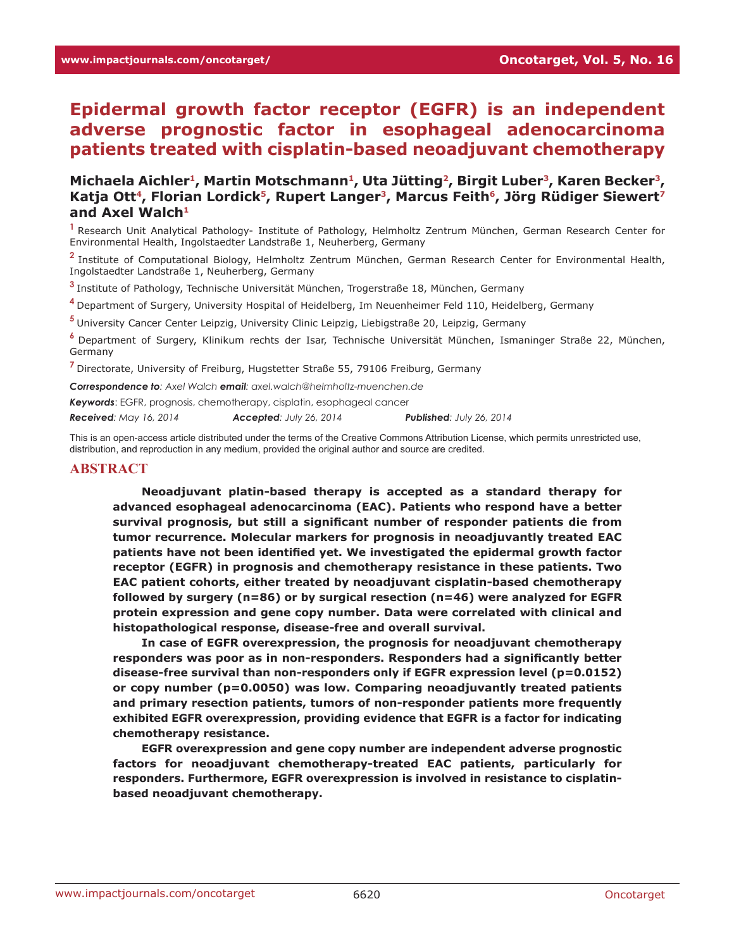# **Epidermal growth factor receptor (EGFR) is an independent adverse prognostic factor in esophageal adenocarcinoma patients treated with cisplatin-based neoadjuvant chemotherapy**

Michaela Aichler<sup>1</sup>, Martin Motschmann<sup>1</sup>, Uta Jütting<sup>2</sup>, Birgit Luber<sup>3</sup>, Karen Becker<sup>3</sup>, Katja Ott<sup>4</sup>, Florian Lordick<sup>5</sup>, Rupert Langer<sup>3</sup>, Marcus Feith<sup>6</sup>, Jörg Rüdiger Siewert<sup>7</sup> and Axel Walch<sup>1</sup>

**<sup>1</sup>**Research Unit Analytical Pathology- Institute of Pathology, Helmholtz Zentrum München, German Research Center for Environmental Health, Ingolstaedter Landstraße 1, Neuherberg, Germany

**<sup>2</sup>**Institute of Computational Biology, Helmholtz Zentrum München, German Research Center for Environmental Health, Ingolstaedter Landstraße 1, Neuherberg, Germany

**<sup>3</sup>**Institute of Pathology, Technische Universität München, Trogerstraße 18, München, Germany

**<sup>4</sup>**Department of Surgery, University Hospital of Heidelberg, Im Neuenheimer Feld 110, Heidelberg, Germany

**<sup>5</sup>**University Cancer Center Leipzig, University Clinic Leipzig, Liebigstraße 20, Leipzig, Germany

**<sup>6</sup>**Department of Surgery, Klinikum rechts der Isar, Technische Universität München, Ismaninger Straße 22, München, Germany

**<sup>7</sup>**Directorate, University of Freiburg, Hugstetter Straße 55, 79106 Freiburg, Germany

*Correspondence to: Axel Walch email: axel.walch@helmholtz-muenchen.de*

*Keywords*: EGFR, prognosis, chemotherapy, cisplatin, esophageal cancer

*Received: May 16, 2014 Accepted: July 26, 2014 Published: July 26, 2014*

This is an open-access article distributed under the terms of the Creative Commons Attribution License, which permits unrestricted use, distribution, and reproduction in any medium, provided the original author and source are credited.

#### **ABSTRACT**

**Neoadjuvant platin-based therapy is accepted as a standard therapy for advanced esophageal adenocarcinoma (EAC). Patients who respond have a better survival prognosis, but still a significant number of responder patients die from tumor recurrence. Molecular markers for prognosis in neoadjuvantly treated EAC patients have not been identified yet. We investigated the epidermal growth factor receptor (EGFR) in prognosis and chemotherapy resistance in these patients. Two EAC patient cohorts, either treated by neoadjuvant cisplatin-based chemotherapy followed by surgery (n=86) or by surgical resection (n=46) were analyzed for EGFR protein expression and gene copy number. Data were correlated with clinical and histopathological response, disease-free and overall survival.**

**In case of EGFR overexpression, the prognosis for neoadjuvant chemotherapy responders was poor as in non-responders. Responders had a significantly better disease-free survival than non-responders only if EGFR expression level (p=0.0152) or copy number (p=0.0050) was low. Comparing neoadjuvantly treated patients and primary resection patients, tumors of non-responder patients more frequently exhibited EGFR overexpression, providing evidence that EGFR is a factor for indicating chemotherapy resistance.** 

**EGFR overexpression and gene copy number are independent adverse prognostic factors for neoadjuvant chemotherapy-treated EAC patients, particularly for responders. Furthermore, EGFR overexpression is involved in resistance to cisplatinbased neoadjuvant chemotherapy.**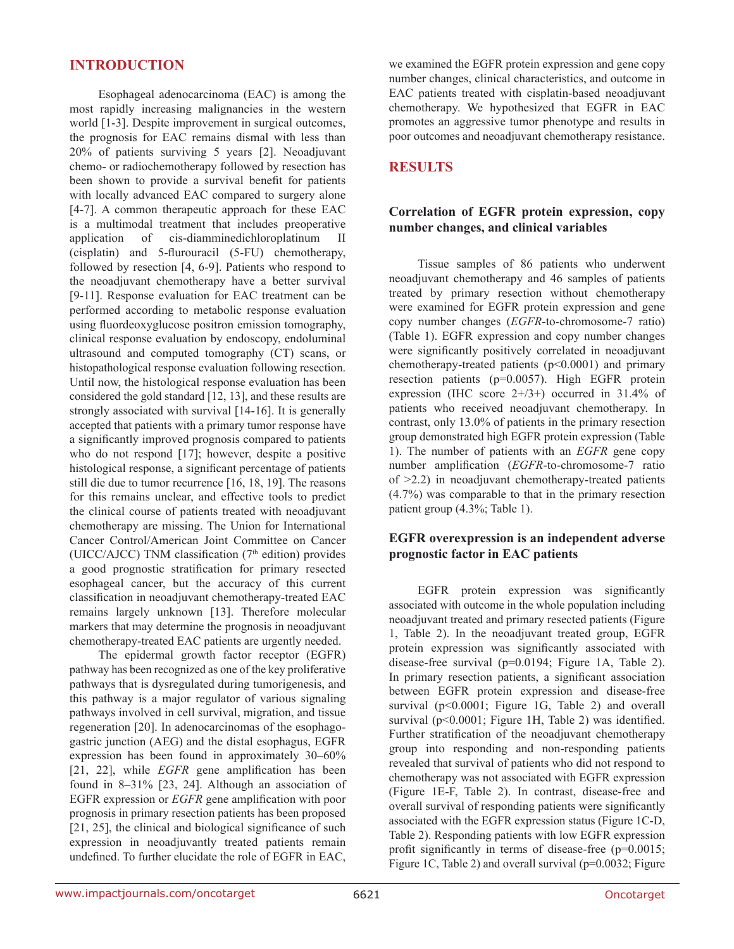# **INTRODUCTION**

Esophageal adenocarcinoma (EAC) is among the most rapidly increasing malignancies in the western world [1-3]. Despite improvement in surgical outcomes, the prognosis for EAC remains dismal with less than 20% of patients surviving 5 years [2]. Neoadjuvant chemo- or radiochemotherapy followed by resection has been shown to provide a survival benefit for patients with locally advanced EAC compared to surgery alone [4-7]. A common therapeutic approach for these EAC is a multimodal treatment that includes preoperative application of cis-diamminedichloroplatinum II (cisplatin) and 5-flurouracil (5-FU) chemotherapy, followed by resection [4, 6-9]. Patients who respond to the neoadjuvant chemotherapy have a better survival [9-11]. Response evaluation for EAC treatment can be performed according to metabolic response evaluation using fluordeoxyglucose positron emission tomography, clinical response evaluation by endoscopy, endoluminal ultrasound and computed tomography (CT) scans, or histopathological response evaluation following resection. Until now, the histological response evaluation has been considered the gold standard [12, 13], and these results are strongly associated with survival [14-16]. It is generally accepted that patients with a primary tumor response have a significantly improved prognosis compared to patients who do not respond [17]; however, despite a positive histological response, a significant percentage of patients still die due to tumor recurrence [16, 18, 19]. The reasons for this remains unclear, and effective tools to predict the clinical course of patients treated with neoadjuvant chemotherapy are missing. The Union for International Cancer Control/American Joint Committee on Cancer (UICC/AJCC) TNM classification ( $7<sup>th</sup>$  edition) provides a good prognostic stratification for primary resected esophageal cancer, but the accuracy of this current classification in neoadjuvant chemotherapy-treated EAC remains largely unknown [13]. Therefore molecular markers that may determine the prognosis in neoadjuvant chemotherapy-treated EAC patients are urgently needed.

The epidermal growth factor receptor (EGFR) pathway has been recognized as one of the key proliferative pathways that is dysregulated during tumorigenesis, and this pathway is a major regulator of various signaling pathways involved in cell survival, migration, and tissue regeneration [20]. In adenocarcinomas of the esophagogastric junction (AEG) and the distal esophagus, EGFR expression has been found in approximately 30–60% [21, 22], while *EGFR* gene amplification has been found in 8–31% [23, 24]. Although an association of EGFR expression or *EGFR* gene amplification with poor prognosis in primary resection patients has been proposed [21, 25], the clinical and biological significance of such expression in neoadjuvantly treated patients remain undefined. To further elucidate the role of EGFR in EAC, we examined the EGFR protein expression and gene copy number changes, clinical characteristics, and outcome in EAC patients treated with cisplatin-based neoadjuvant chemotherapy. We hypothesized that EGFR in EAC promotes an aggressive tumor phenotype and results in poor outcomes and neoadjuvant chemotherapy resistance.

# **RESULTS**

## **Correlation of EGFR protein expression, copy number changes, and clinical variables**

Tissue samples of 86 patients who underwent neoadjuvant chemotherapy and 46 samples of patients treated by primary resection without chemotherapy were examined for EGFR protein expression and gene copy number changes (*EGFR*-to-chromosome-7 ratio) (Table 1). EGFR expression and copy number changes were significantly positively correlated in neoadjuvant chemotherapy-treated patients (p<0.0001) and primary resection patients (p=0.0057). High EGFR protein expression (IHC score  $2+/3+$ ) occurred in 31.4% of patients who received neoadjuvant chemotherapy. In contrast, only 13.0% of patients in the primary resection group demonstrated high EGFR protein expression (Table 1). The number of patients with an *EGFR* gene copy number amplification (*EGFR*-to-chromosome-7 ratio of >2.2) in neoadjuvant chemotherapy-treated patients (4.7%) was comparable to that in the primary resection patient group (4.3%; Table 1).

# **EGFR overexpression is an independent adverse prognostic factor in EAC patients**

EGFR protein expression was significantly associated with outcome in the whole population including neoadjuvant treated and primary resected patients (Figure 1, Table 2). In the neoadjuvant treated group, EGFR protein expression was significantly associated with disease-free survival (p=0.0194; Figure 1A, Table 2). In primary resection patients, a significant association between EGFR protein expression and disease-free survival (p<0.0001; Figure 1G, Table 2) and overall survival (p<0.0001; Figure 1H, Table 2) was identified. Further stratification of the neoadjuvant chemotherapy group into responding and non-responding patients revealed that survival of patients who did not respond to chemotherapy was not associated with EGFR expression (Figure 1E-F, Table 2). In contrast, disease-free and overall survival of responding patients were significantly associated with the EGFR expression status (Figure 1C-D, Table 2). Responding patients with low EGFR expression profit significantly in terms of disease-free (p=0.0015; Figure 1C, Table 2) and overall survival (p=0.0032; Figure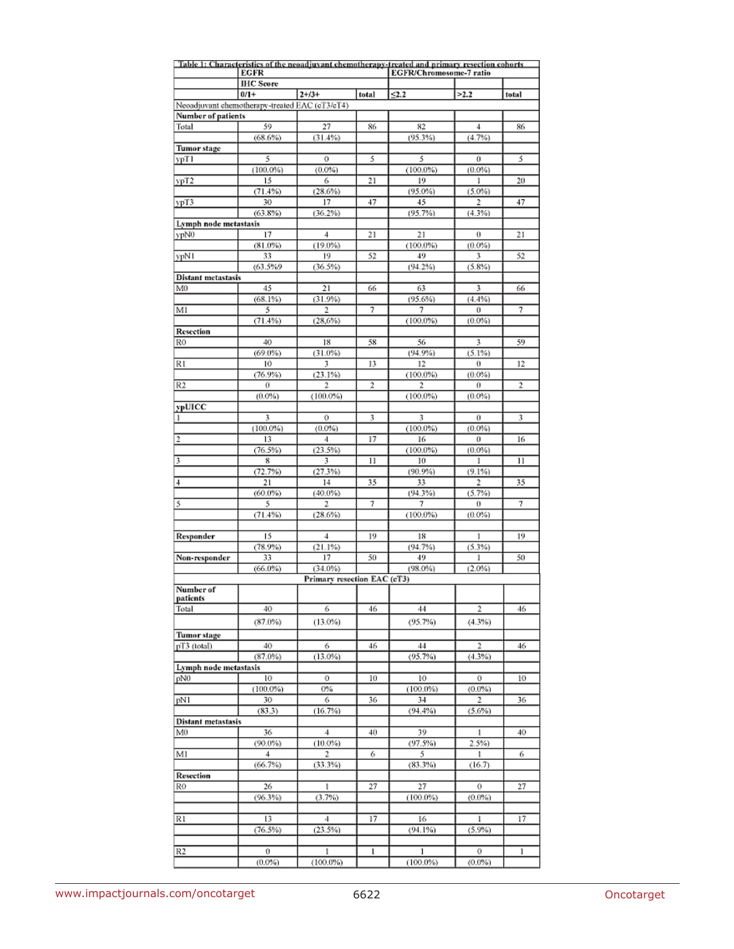|                                                |                                 |                             |                | Table 1: Characteristics of the neoadjuvant chemotherapy-treated and primary resection cohorts |                |                |
|------------------------------------------------|---------------------------------|-----------------------------|----------------|------------------------------------------------------------------------------------------------|----------------|----------------|
|                                                | <b>EGFR</b><br><b>IHC</b> Score |                             |                | EGFR/Chromosome-7 ratio                                                                        |                |                |
|                                                | $0/1 +$                         | $2 + /3 +$                  | total          | 52.2                                                                                           | >2.2           | total          |
| Neoadjuvant chemotherapy-treated EAC (cT3/cT4) |                                 |                             |                |                                                                                                |                |                |
| Number of patients                             |                                 |                             |                |                                                                                                |                |                |
| Total                                          | 59                              | 27                          | 86             | 82                                                                                             | 4              | 86             |
|                                                | (68.6%)                         | (31.4%)                     |                | (95.3%)                                                                                        | (4.7%)         |                |
| <b>Tumor</b> stage                             |                                 |                             |                |                                                                                                |                |                |
| ypT 1                                          | 5<br>(100.0%)                   | 0<br>(0.0%)                 | 5              | 5<br>$(100.0\%)$                                                                               | 0<br>$(0.0\%)$ | 5              |
| ypT2                                           | 15                              | 6                           | 21             | 19                                                                                             | 1              | 20             |
|                                                | (71.4%)                         | (28.6%)                     |                | $(95.0\%)$                                                                                     | $(5.0\%)$      |                |
| урТ3                                           | 30                              | 17                          | 47             | 45                                                                                             | 2              | 47             |
|                                                | $(63.8\%)$                      | (36.2%)                     |                | (95.7%)                                                                                        | (4.3%)         |                |
| Lymph node metastasis                          |                                 |                             |                |                                                                                                |                |                |
| ypN0                                           | 17                              | 4                           | 21             | 21                                                                                             | 0              | 21             |
|                                                | $(81.0\%)$                      | $(19.0\%)$                  |                | $(100.0\%)$                                                                                    | $(0.0\%)$      |                |
| ypN1                                           | 33<br>(63.5%9)                  | 19<br>(36.5%)               | 52             | 49<br>(94.2%)                                                                                  | 3<br>(5.8%)    | 52             |
| <b>Distant metastasis</b>                      |                                 |                             |                |                                                                                                |                |                |
| M0                                             | 45                              | 21                          | 66             | 63                                                                                             | 3              | 66             |
|                                                | (68.1%)                         | (31.9%)                     |                | (95.6%)                                                                                        | (4.4%)         |                |
| M1                                             | 5                               | 2                           | 7              | 7                                                                                              | 0              | 7              |
|                                                | (71.4%)                         | (28,6%)                     |                | $(100.0\%)$                                                                                    | $(0.0\%)$      |                |
| <b>Resection</b>                               |                                 |                             |                |                                                                                                |                |                |
| RO                                             | 40                              | 18                          | 58             | 56                                                                                             | 3              | 59             |
| R1                                             | $(69.0\%)$<br>10                | $(31.0\%)$<br>3             | 13             | (94.9%)<br>12                                                                                  | (5.1%)<br>0    | 12             |
|                                                | (76.9%)                         | (23.1%)                     |                | $(100.0\%)$                                                                                    | $(0.0\%)$      |                |
| R <sub>2</sub>                                 | 0                               | 2                           | $\overline{2}$ | 2                                                                                              | 0              | $\overline{2}$ |
|                                                | (0.0%)                          | (100.0%                     |                | $(100.0\%)$                                                                                    | $(0.0\%)$      |                |
| ypUICC                                         |                                 |                             |                |                                                                                                |                |                |
| -1                                             | 3                               | 0                           | 3              | 3                                                                                              | 0              | 3              |
|                                                | (100.0%                         | (0.0%                       |                | $(100.0\%)$                                                                                    | $(0.0\%)$      |                |
| 2                                              | 13                              | 4                           | 17             | 16                                                                                             | 0              | 16             |
| 3                                              | (76.5%)<br>8                    | (23.5%)<br>3                | 11             | $(100.0\%)$<br>10                                                                              | $(0.0\%)$<br>ı | 11             |
|                                                | (72.7%)                         | (27.3%)                     |                | (90.9%)                                                                                        | (9.1%)         |                |
| 4                                              | 21                              | 14                          | 35             | 33                                                                                             | 2              | 35             |
|                                                | $(60.0\%)$                      | $(40.0\%)$                  |                | (94.3%)                                                                                        | (5.7%)         |                |
| 5                                              | 5                               | 2                           | 7              | 7                                                                                              | 0              | 7              |
|                                                | (71.4%)                         | (28.6%)                     |                | $(100.0\%)$                                                                                    | $(0.0\%)$      |                |
|                                                |                                 |                             |                |                                                                                                |                |                |
| Responder                                      | 15                              | 4                           | 19             | 18                                                                                             | 1              | 19             |
| Non-responder                                  | (78.9%)<br>33                   | (21.1%)<br>17               | 50             | (94.7%)<br>49                                                                                  | (5.3%)<br>ı    | 50             |
|                                                | $(66.0\%)$                      | $(34.0\%)$                  |                | $(98.0\%)$                                                                                     | $(2.0\%)$      |                |
|                                                |                                 | Primary resection EAC (cT3) |                |                                                                                                |                |                |
| Number of                                      |                                 |                             |                |                                                                                                |                |                |
| patients                                       |                                 |                             |                |                                                                                                |                |                |
| Total                                          | 40                              | 6                           | 46             | 44                                                                                             | 2              | 46             |
|                                                | $(87.0\%)$                      | (13.0%)                     |                | (95.7%)                                                                                        | (4.3%)         |                |
| <b>Tumor</b> stage                             |                                 |                             |                |                                                                                                |                |                |
| $pT3$ (total)                                  | 40                              | 6                           | 46             | 44                                                                                             | 2              | 46             |
| Lymph node metastasis                          | $(87.0\%)$                      | (13.0%)                     |                | (95.7%)                                                                                        | (4.3%)         |                |
| pN <sub>0</sub>                                | 10                              | 0                           | 10             | 10                                                                                             | 0              | 10             |
|                                                | $(100.0\%)$                     | 0%                          |                | $(100.0\%)$                                                                                    | $(0.0\%)$      |                |
| pN1                                            | 30                              | 6                           | 36             | 34                                                                                             | 2              | 36             |
|                                                | (83.3)                          | (16.7%)                     |                | (94.4%)                                                                                        | (5.6%)         |                |
| Distant metastasis                             |                                 |                             |                |                                                                                                |                |                |
| M <sub>0</sub>                                 | 36                              | 4                           | 40             | 39                                                                                             | 1              | 40             |
|                                                | $(90.0\%)$                      | $(10.0\%)$                  |                | (97.5%)                                                                                        | 2.5%           |                |
| M1                                             | 4<br>(66.7%)                    | 2<br>(33.3%)                | 6              | 5<br>(83.3%)                                                                                   | ı<br>(16.7)    | б              |
| <b>Resection</b>                               |                                 |                             |                |                                                                                                |                |                |
| R0                                             | 26                              | 1                           | 27             | 27                                                                                             | 0              | 27             |
|                                                | $(96.3\%)$                      | (3.7%)                      |                | (100.0%                                                                                        | (0.0%          |                |
|                                                |                                 |                             |                |                                                                                                |                |                |
| R1                                             | 13                              | 4                           | 17             | 16                                                                                             | ı              | 17             |
|                                                | (76.5%)                         | (23.5%)                     |                | (94.1%)                                                                                        | (5.9%)         |                |
|                                                |                                 |                             |                |                                                                                                |                |                |
| R2                                             | 0                               | 1<br>$(100.0\%)$            | 1              | 1<br>$(100.0\%)$                                                                               | 0<br>$(0.0\%)$ | 1              |
|                                                | $(0.0\%)$                       |                             |                |                                                                                                |                |                |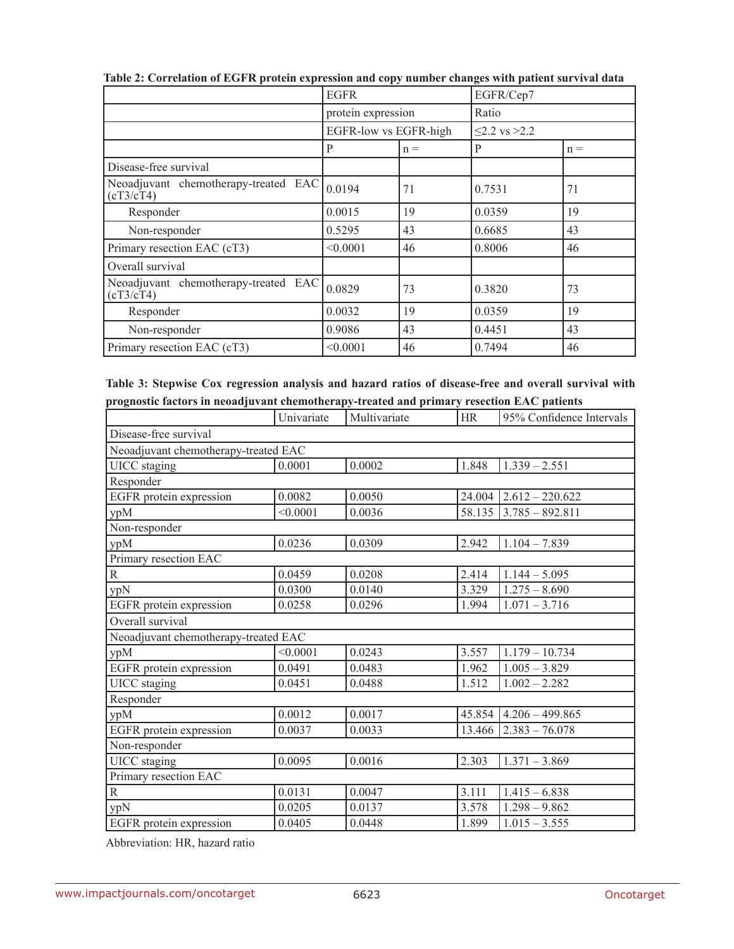|                                                   | <b>EGFR</b>           |       | EGFR/Cep7             |       |
|---------------------------------------------------|-----------------------|-------|-----------------------|-------|
|                                                   | protein expression    |       | Ratio                 |       |
|                                                   | EGFR-low vs EGFR-high |       | $\leq$ 2.2 vs $>$ 2.2 |       |
|                                                   | P                     | $n =$ | P                     | $n =$ |
| Disease-free survival                             |                       |       |                       |       |
| Neoadjuvant chemotherapy-treated EAC<br>(cT3/cT4) | 0.0194                | 71    | 0.7531                | 71    |
| Responder                                         | 0.0015                | 19    | 0.0359                | 19    |
| Non-responder                                     | 0.5295                | 43    | 0.6685                | 43    |
| Primary resection EAC (cT3)                       | < 0.0001              | 46    | 0.8006                | 46    |
| Overall survival                                  |                       |       |                       |       |
| Neoadjuvant chemotherapy-treated EAC<br>(cT3/cT4) | 0.0829                | 73    | 0.3820                | 73    |
| Responder                                         | 0.0032                | 19    | 0.0359                | 19    |
| Non-responder                                     | 0.9086                | 43    | 0.4451                | 43    |
| Primary resection EAC (cT3)                       | < 0.0001              | 46    | 0.7494                | 46    |

**Table 2: Correlation of EGFR protein expression and copy number changes with patient survival data**

| Table 3: Stepwise Cox regression analysis and hazard ratios of disease-free and overall survival with |  |  |
|-------------------------------------------------------------------------------------------------------|--|--|
| prognostic factors in neoadjuvant chemotherapy-treated and primary resection EAC patients             |  |  |

|                                      | Univariate | Multivariate | <b>HR</b> | 95% Confidence Intervals     |  |  |  |
|--------------------------------------|------------|--------------|-----------|------------------------------|--|--|--|
| Disease-free survival                |            |              |           |                              |  |  |  |
| Neoadjuvant chemotherapy-treated EAC |            |              |           |                              |  |  |  |
| <b>UICC</b> staging                  | 0.0001     | 0.0002       | 1.848     | $1.339 - 2.551$              |  |  |  |
| Responder                            |            |              |           |                              |  |  |  |
| EGFR protein expression              | 0.0082     | 0.0050       |           | $24.004$   $2.612 - 220.622$ |  |  |  |
| ypM                                  | < 0.0001   | 0.0036       | 58.135    | $3.785 - 892.811$            |  |  |  |
| Non-responder                        |            |              |           |                              |  |  |  |
| ypM                                  | 0.0236     | 0.0309       | 2.942     | $1.104 - 7.839$              |  |  |  |
| Primary resection EAC                |            |              |           |                              |  |  |  |
| $\mathbb{R}$                         | 0.0459     | 0.0208       | 2.414     | $1.144 - 5.095$              |  |  |  |
| ypN                                  | 0.0300     | 0.0140       | 3.329     | $1.275 - 8.690$              |  |  |  |
| EGFR protein expression              | 0.0258     | 0.0296       | 1.994     | $1.071 - 3.716$              |  |  |  |
| Overall survival                     |            |              |           |                              |  |  |  |
| Neoadjuvant chemotherapy-treated EAC |            |              |           |                              |  |  |  |
| ypM                                  | < 0.0001   | 0.0243       | 3.557     | $1.179 - 10.734$             |  |  |  |
| EGFR protein expression              | 0.0491     | 0.0483       | 1.962     | $1.005 - 3.829$              |  |  |  |
| <b>UICC</b> staging                  | 0.0451     | 0.0488       | 1.512     | $1.002 - 2.282$              |  |  |  |
| Responder                            |            |              |           |                              |  |  |  |
| ypM                                  | 0.0012     | 0.0017       | 45.854    | $4.206 - 499.865$            |  |  |  |
| EGFR protein expression              | 0.0037     | 0.0033       | 13.466    | $2.383 - 76.078$             |  |  |  |
| Non-responder                        |            |              |           |                              |  |  |  |
| <b>UICC</b> staging                  | 0.0095     | 0.0016       | 2.303     | $1.371 - 3.869$              |  |  |  |
| Primary resection EAC                |            |              |           |                              |  |  |  |
| ${\bf R}$                            | 0.0131     | 0.0047       | 3.111     | $1.415 - 6.838$              |  |  |  |
| ypN                                  | 0.0205     | 0.0137       | 3.578     | $1.298 - 9.862$              |  |  |  |
| EGFR protein expression              | 0.0405     | 0.0448       | 1.899     | $1.015 - 3.555$              |  |  |  |

Abbreviation: HR, hazard ratio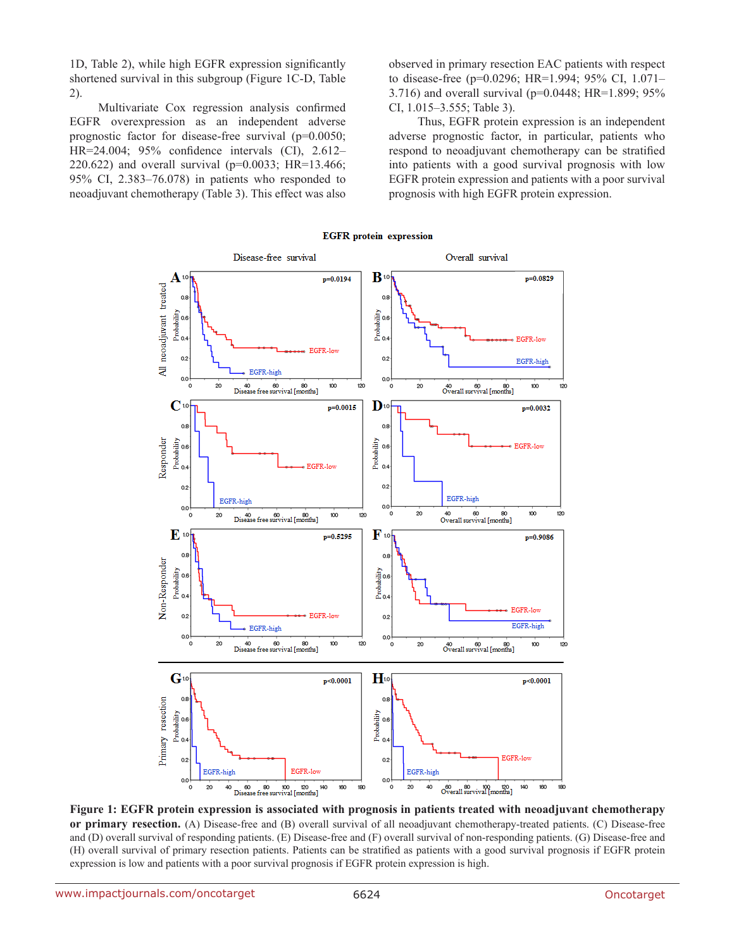1D, Table 2), while high EGFR expression significantly shortened survival in this subgroup (Figure 1C-D, Table 2).

Multivariate Cox regression analysis confirmed EGFR overexpression as an independent adverse prognostic factor for disease-free survival (p=0.0050; HR=24.004; 95% confidence intervals (CI), 2.612– 220.622) and overall survival (p=0.0033; HR=13.466; 95% CI, 2.383–76.078) in patients who responded to neoadjuvant chemotherapy (Table 3). This effect was also observed in primary resection EAC patients with respect to disease-free (p=0.0296; HR=1.994; 95% CI, 1.071– 3.716) and overall survival (p=0.0448; HR=1.899; 95% CI, 1.015–3.555; Table 3).

Thus, EGFR protein expression is an independent adverse prognostic factor, in particular, patients who respond to neoadjuvant chemotherapy can be stratified into patients with a good survival prognosis with low EGFR protein expression and patients with a poor survival prognosis with high EGFR protein expression.



**Figure 1: EGFR protein expression is associated with prognosis in patients treated with neoadjuvant chemotherapy or primary resection.** (A) Disease-free and (B) overall survival of all neoadjuvant chemotherapy-treated patients. (C) Disease-free and (D) overall survival of responding patients. (E) Disease-free and (F) overall survival of non-responding patients. (G) Disease-free and (H) overall survival of primary resection patients. Patients can be stratified as patients with a good survival prognosis if EGFR protein expression is low and patients with a poor survival prognosis if EGFR protein expression is high.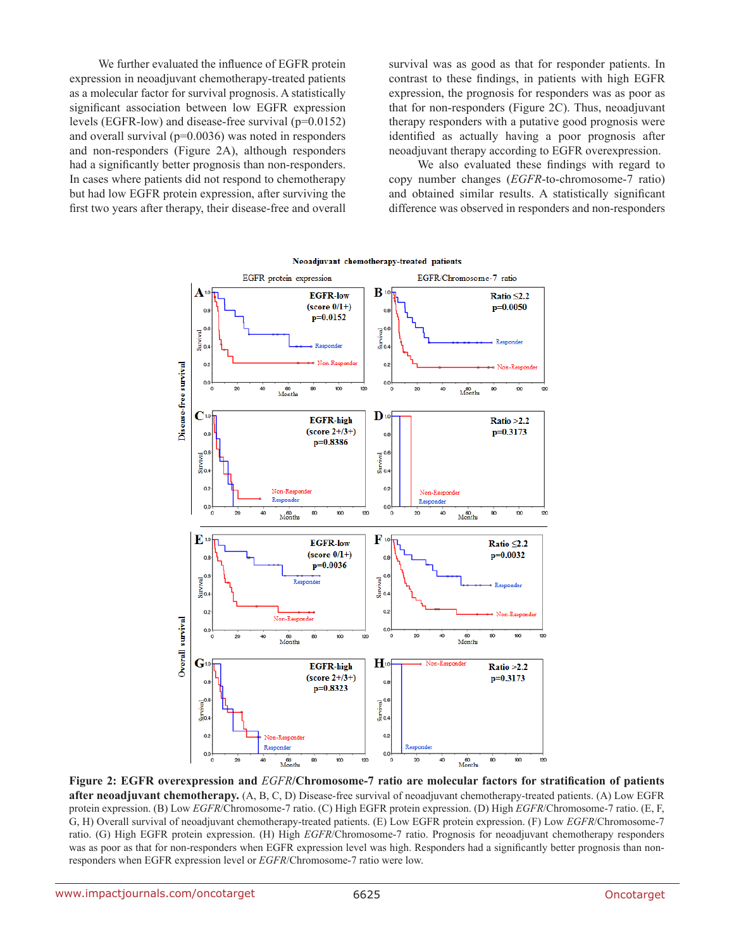We further evaluated the influence of EGFR protein expression in neoadjuvant chemotherapy-treated patients as a molecular factor for survival prognosis. A statistically significant association between low EGFR expression levels (EGFR-low) and disease-free survival (p=0.0152) and overall survival (p=0.0036) was noted in responders and non-responders (Figure 2A), although responders had a significantly better prognosis than non-responders. In cases where patients did not respond to chemotherapy but had low EGFR protein expression, after surviving the first two years after therapy, their disease-free and overall survival was as good as that for responder patients. In contrast to these findings, in patients with high EGFR expression, the prognosis for responders was as poor as that for non-responders (Figure 2C). Thus, neoadjuvant therapy responders with a putative good prognosis were identified as actually having a poor prognosis after neoadjuvant therapy according to EGFR overexpression.

We also evaluated these findings with regard to copy number changes (*EGFR*-to-chromosome-7 ratio) and obtained similar results. A statistically significant difference was observed in responders and non-responders



#### **Figure 2: EGFR overexpression and** *EGFR***/Chromosome-7 ratio are molecular factors for stratification of patients after neoadjuvant chemotherapy.** (A, B, C, D) Disease-free survival of neoadjuvant chemotherapy-treated patients. (A) Low EGFR protein expression. (B) Low *EGFR*/Chromosome-7 ratio. (C) High EGFR protein expression. (D) High *EGFR*/Chromosome-7 ratio. (E, F, G, H) Overall survival of neoadjuvant chemotherapy-treated patients. (E) Low EGFR protein expression. (F) Low *EGFR*/Chromosome-7 ratio. (G) High EGFR protein expression. (H) High *EGFR*/Chromosome-7 ratio. Prognosis for neoadjuvant chemotherapy responders was as poor as that for non-responders when EGFR expression level was high. Responders had a significantly better prognosis than nonresponders when EGFR expression level or *EGFR*/Chromosome-7 ratio were low.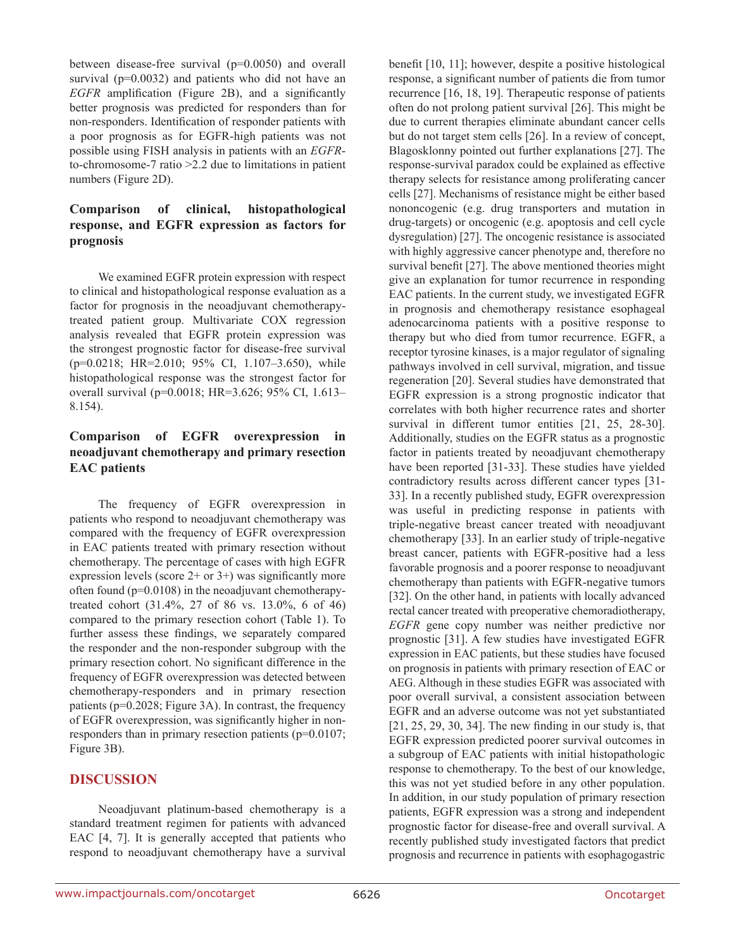between disease-free survival (p=0.0050) and overall survival (p=0.0032) and patients who did not have an *EGFR* amplification (Figure 2B), and a significantly better prognosis was predicted for responders than for non-responders. Identification of responder patients with a poor prognosis as for EGFR-high patients was not possible using FISH analysis in patients with an *EGFR*to-chromosome-7 ratio >2.2 due to limitations in patient numbers (Figure 2D).

# **Comparison of clinical, histopathological response, and EGFR expression as factors for prognosis**

We examined EGFR protein expression with respect to clinical and histopathological response evaluation as a factor for prognosis in the neoadjuvant chemotherapytreated patient group. Multivariate COX regression analysis revealed that EGFR protein expression was the strongest prognostic factor for disease-free survival (p=0.0218; HR=2.010; 95% CI, 1.107–3.650), while histopathological response was the strongest factor for overall survival (p=0.0018; HR=3.626; 95% CI, 1.613– 8.154).

# **Comparison of EGFR overexpression in neoadjuvant chemotherapy and primary resection EAC patients**

The frequency of EGFR overexpression in patients who respond to neoadjuvant chemotherapy was compared with the frequency of EGFR overexpression in EAC patients treated with primary resection without chemotherapy. The percentage of cases with high EGFR expression levels (score  $2+$  or  $3+$ ) was significantly more often found (p=0.0108) in the neoadjuvant chemotherapytreated cohort (31.4%, 27 of 86 vs. 13.0%, 6 of 46) compared to the primary resection cohort (Table 1). To further assess these findings, we separately compared the responder and the non-responder subgroup with the primary resection cohort. No significant difference in the frequency of EGFR overexpression was detected between chemotherapy-responders and in primary resection patients (p=0.2028; Figure 3A). In contrast, the frequency of EGFR overexpression, was significantly higher in nonresponders than in primary resection patients (p=0.0107; Figure 3B).

# **DISCUSSION**

Neoadjuvant platinum-based chemotherapy is a standard treatment regimen for patients with advanced EAC [4, 7]. It is generally accepted that patients who respond to neoadjuvant chemotherapy have a survival benefit [10, 11]; however, despite a positive histological response, a significant number of patients die from tumor recurrence [16, 18, 19]. Therapeutic response of patients often do not prolong patient survival [26]. This might be due to current therapies eliminate abundant cancer cells but do not target stem cells [26]. In a review of concept, Blagosklonny pointed out further explanations [27]. The response-survival paradox could be explained as effective therapy selects for resistance among proliferating cancer cells [27]. Mechanisms of resistance might be either based nononcogenic (e.g. drug transporters and mutation in drug-targets) or oncogenic (e.g. apoptosis and cell cycle dysregulation) [27]. The oncogenic resistance is associated with highly aggressive cancer phenotype and, therefore no survival benefit [27]. The above mentioned theories might give an explanation for tumor recurrence in responding EAC patients. In the current study, we investigated EGFR in prognosis and chemotherapy resistance esophageal adenocarcinoma patients with a positive response to therapy but who died from tumor recurrence. EGFR, a receptor tyrosine kinases, is a major regulator of signaling pathways involved in cell survival, migration, and tissue regeneration [20]. Several studies have demonstrated that EGFR expression is a strong prognostic indicator that correlates with both higher recurrence rates and shorter survival in different tumor entities [21, 25, 28-30]. Additionally, studies on the EGFR status as a prognostic factor in patients treated by neoadjuvant chemotherapy have been reported [31-33]. These studies have yielded contradictory results across different cancer types [31- 33]. In a recently published study, EGFR overexpression was useful in predicting response in patients with triple-negative breast cancer treated with neoadjuvant chemotherapy [33]. In an earlier study of triple-negative breast cancer, patients with EGFR-positive had a less favorable prognosis and a poorer response to neoadjuvant chemotherapy than patients with EGFR-negative tumors [32]. On the other hand, in patients with locally advanced rectal cancer treated with preoperative chemoradiotherapy, *EGFR* gene copy number was neither predictive nor prognostic [31]. A few studies have investigated EGFR expression in EAC patients, but these studies have focused on prognosis in patients with primary resection of EAC or AEG. Although in these studies EGFR was associated with poor overall survival, a consistent association between EGFR and an adverse outcome was not yet substantiated [21, 25, 29, 30, 34]. The new finding in our study is, that EGFR expression predicted poorer survival outcomes in a subgroup of EAC patients with initial histopathologic response to chemotherapy. To the best of our knowledge, this was not yet studied before in any other population. In addition, in our study population of primary resection patients, EGFR expression was a strong and independent prognostic factor for disease-free and overall survival. A recently published study investigated factors that predict prognosis and recurrence in patients with esophagogastric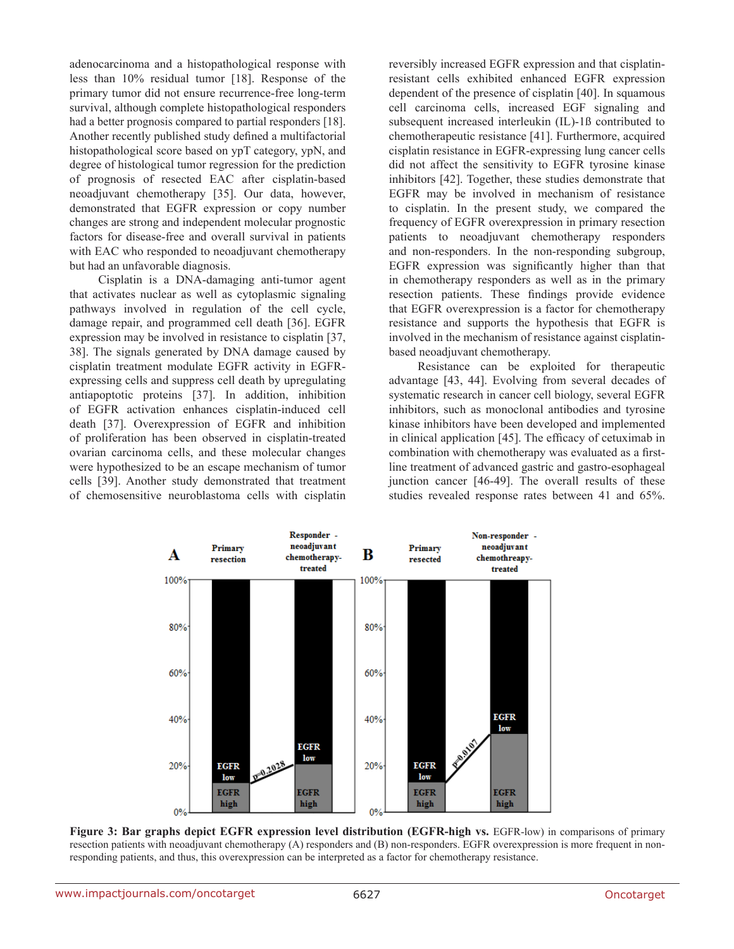adenocarcinoma and a histopathological response with less than 10% residual tumor [18]. Response of the primary tumor did not ensure recurrence-free long-term survival, although complete histopathological responders had a better prognosis compared to partial responders [18]. Another recently published study defined a multifactorial histopathological score based on ypT category, ypN, and degree of histological tumor regression for the prediction of prognosis of resected EAC after cisplatin-based neoadjuvant chemotherapy [35]. Our data, however, demonstrated that EGFR expression or copy number changes are strong and independent molecular prognostic factors for disease-free and overall survival in patients with EAC who responded to neoadjuvant chemotherapy but had an unfavorable diagnosis.

Cisplatin is a DNA-damaging anti-tumor agent that activates nuclear as well as cytoplasmic signaling pathways involved in regulation of the cell cycle, damage repair, and programmed cell death [36]. EGFR expression may be involved in resistance to cisplatin [37, 38]. The signals generated by DNA damage caused by cisplatin treatment modulate EGFR activity in EGFRexpressing cells and suppress cell death by upregulating antiapoptotic proteins [37]. In addition, inhibition of EGFR activation enhances cisplatin-induced cell death [37]. Overexpression of EGFR and inhibition of proliferation has been observed in cisplatin-treated ovarian carcinoma cells, and these molecular changes were hypothesized to be an escape mechanism of tumor cells [39]. Another study demonstrated that treatment of chemosensitive neuroblastoma cells with cisplatin reversibly increased EGFR expression and that cisplatinresistant cells exhibited enhanced EGFR expression dependent of the presence of cisplatin [40]. In squamous cell carcinoma cells, increased EGF signaling and subsequent increased interleukin (IL)-1ß contributed to chemotherapeutic resistance [41]. Furthermore, acquired cisplatin resistance in EGFR-expressing lung cancer cells did not affect the sensitivity to EGFR tyrosine kinase inhibitors [42]. Together, these studies demonstrate that EGFR may be involved in mechanism of resistance to cisplatin. In the present study, we compared the frequency of EGFR overexpression in primary resection patients to neoadjuvant chemotherapy responders and non-responders. In the non-responding subgroup, EGFR expression was significantly higher than that in chemotherapy responders as well as in the primary resection patients. These findings provide evidence that EGFR overexpression is a factor for chemotherapy resistance and supports the hypothesis that EGFR is involved in the mechanism of resistance against cisplatinbased neoadjuvant chemotherapy.

Resistance can be exploited for therapeutic advantage [43, 44]. Evolving from several decades of systematic research in cancer cell biology, several EGFR inhibitors, such as monoclonal antibodies and tyrosine kinase inhibitors have been developed and implemented in clinical application [45]. The efficacy of cetuximab in combination with chemotherapy was evaluated as a firstline treatment of advanced gastric and gastro-esophageal junction cancer [46-49]. The overall results of these studies revealed response rates between 41 and 65%.



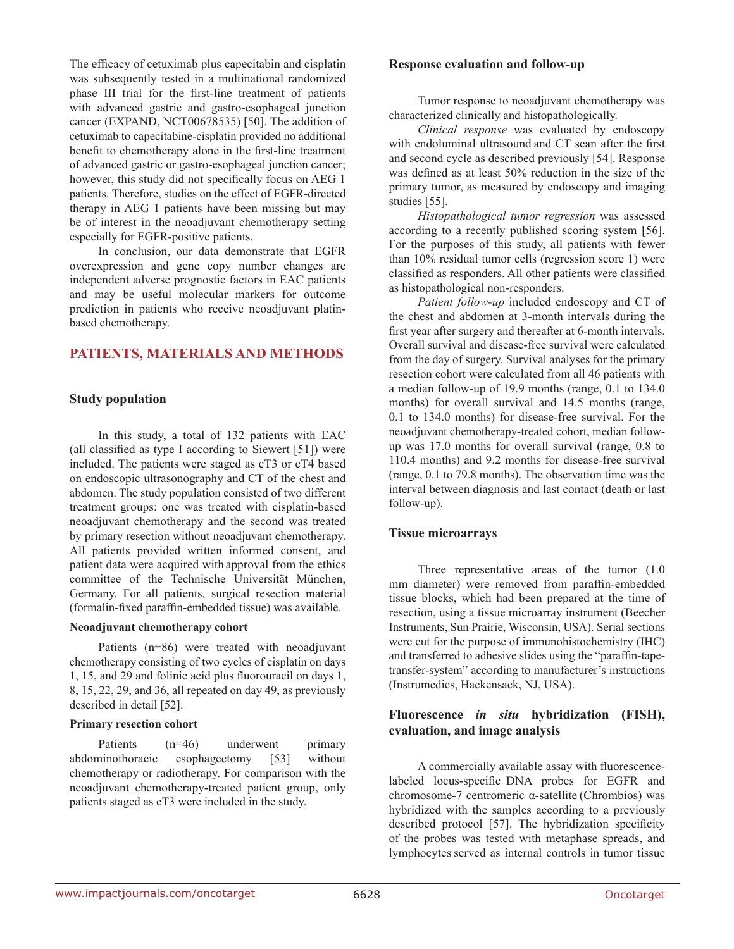The efficacy of cetuximab plus capecitabin and cisplatin was subsequently tested in a multinational randomized phase III trial for the first-line treatment of patients with advanced gastric and gastro-esophageal junction cancer (EXPAND, NCT00678535) [50]. The addition of cetuximab to capecitabine-cisplatin provided no additional benefit to chemotherapy alone in the first-line treatment of advanced gastric or gastro-esophageal junction cancer; however, this study did not specifically focus on AEG 1 patients. Therefore, studies on the effect of EGFR-directed therapy in AEG 1 patients have been missing but may be of interest in the neoadjuvant chemotherapy setting especially for EGFR-positive patients.

In conclusion, our data demonstrate that EGFR overexpression and gene copy number changes are independent adverse prognostic factors in EAC patients and may be useful molecular markers for outcome prediction in patients who receive neoadjuvant platinbased chemotherapy.

# **PATIENTS, MATERIALS AND METHODS**

# **Study population**

In this study, a total of 132 patients with EAC (all classified as type I according to Siewert [51]) were included. The patients were staged as cT3 or cT4 based on endoscopic ultrasonography and CT of the chest and abdomen. The study population consisted of two different treatment groups: one was treated with cisplatin-based neoadjuvant chemotherapy and the second was treated by primary resection without neoadjuvant chemotherapy. All patients provided written informed consent, and patient data were acquired with approval from the ethics committee of the Technische Universität München, Germany. For all patients, surgical resection material (formalin-fixed paraffin-embedded tissue) was available.

#### **Neoadjuvant chemotherapy cohort**

Patients (n=86) were treated with neoadjuvant chemotherapy consisting of two cycles of cisplatin on days 1, 15, and 29 and folinic acid plus fluorouracil on days 1, 8, 15, 22, 29, and 36, all repeated on day 49, as previously described in detail [52].

#### **Primary resection cohort**

Patients (n=46) underwent primary abdominothoracic esophagectomy [53] without chemotherapy or radiotherapy. For comparison with the neoadjuvant chemotherapy-treated patient group, only patients staged as cT3 were included in the study.

#### **Response evaluation and follow-up**

Tumor response to neoadjuvant chemotherapy was characterized clinically and histopathologically.

*Clinical response* was evaluated by endoscopy with endoluminal ultrasound and CT scan after the first and second cycle as described previously [54]. Response was defined as at least 50% reduction in the size of the primary tumor, as measured by endoscopy and imaging studies [55].

*Histopathological tumor regression* was assessed according to a recently published scoring system [56]. For the purposes of this study, all patients with fewer than 10% residual tumor cells (regression score 1) were classified as responders. All other patients were classified as histopathological non-responders.

*Patient follow-up* included endoscopy and CT of the chest and abdomen at 3-month intervals during the first year after surgery and thereafter at 6-month intervals. Overall survival and disease-free survival were calculated from the day of surgery. Survival analyses for the primary resection cohort were calculated from all 46 patients with a median follow-up of 19.9 months (range, 0.1 to 134.0 months) for overall survival and 14.5 months (range, 0.1 to 134.0 months) for disease-free survival. For the neoadjuvant chemotherapy-treated cohort, median followup was 17.0 months for overall survival (range, 0.8 to 110.4 months) and 9.2 months for disease-free survival (range, 0.1 to 79.8 months). The observation time was the interval between diagnosis and last contact (death or last follow-up).

# **Tissue microarrays**

Three representative areas of the tumor (1.0 mm diameter) were removed from paraffin-embedded tissue blocks, which had been prepared at the time of resection, using a tissue microarray instrument (Beecher Instruments, Sun Prairie, Wisconsin, USA). Serial sections were cut for the purpose of immunohistochemistry (IHC) and transferred to adhesive slides using the "paraffin-tapetransfer-system" according to manufacturer's instructions (Instrumedics, Hackensack, NJ, USA).

# **Fluorescence** *in situ* **hybridization (FISH), evaluation, and image analysis**

A commercially available assay with fluorescencelabeled locus-specific DNA probes for EGFR and chromosome-7 centromeric α-satellite (Chrombios) was hybridized with the samples according to a previously described protocol [57]. The hybridization specificity of the probes was tested with metaphase spreads, and lymphocytes served as internal controls in tumor tissue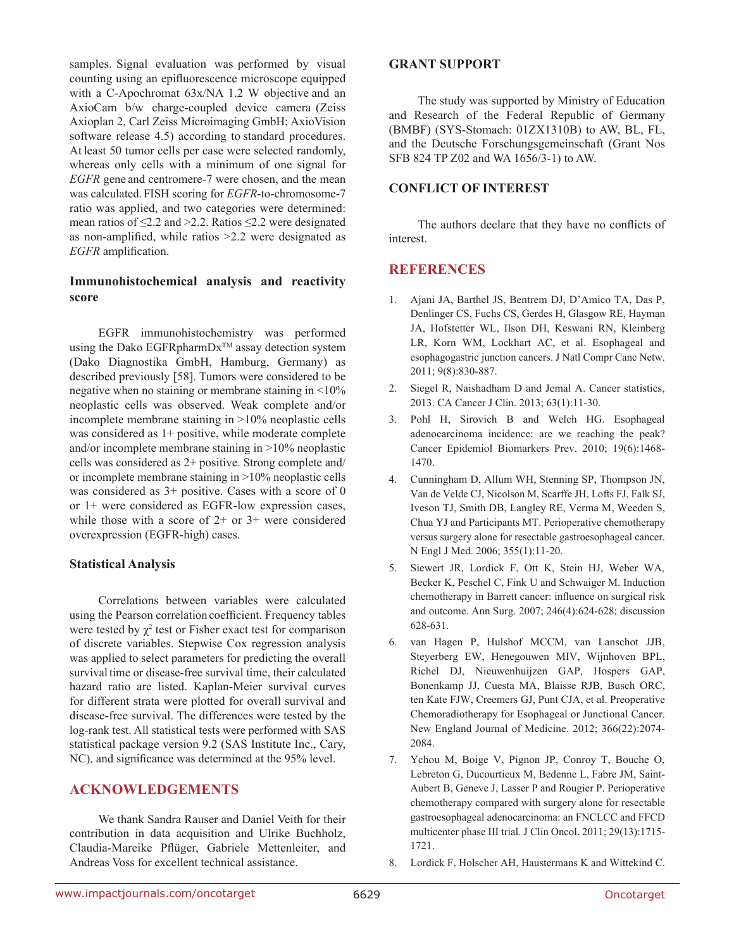samples. Signal evaluation was performed by visual counting using an epifluorescence microscope equipped with a C-Apochromat 63x/NA 1.2 W objective and an AxioCam b/w charge-coupled device camera (Zeiss Axioplan 2, Carl Zeiss Microimaging GmbH; AxioVision software release 4.5) according to standard procedures. At least 50 tumor cells per case were selected randomly, whereas only cells with a minimum of one signal for *EGFR* gene and centromere-7 were chosen, and the mean was calculated.FISH scoring for *EGFR*-to-chromosome-7 ratio was applied, and two categories were determined: mean ratios of ≤2.2 and >2.2. Ratios ≤2.2 were designated as non-amplified, while ratios >2.2 were designated as *EGFR* amplification.

# **Immunohistochemical analysis and reactivity score**

EGFR immunohistochemistry was performed using the Dako EGFRpharmDx<sup>TM</sup> assay detection system (Dako Diagnostika GmbH, Hamburg, Germany) as described previously [58]. Tumors were considered to be negative when no staining or membrane staining in <10% neoplastic cells was observed. Weak complete and/or incomplete membrane staining in >10% neoplastic cells was considered as  $1+$  positive, while moderate complete and/or incomplete membrane staining in >10% neoplastic cells was considered as 2+ positive. Strong complete and/ or incomplete membrane staining in >10% neoplastic cells was considered as 3+ positive. Cases with a score of 0 or 1+ were considered as EGFR-low expression cases, while those with a score of 2+ or 3+ were considered overexpression (EGFR-high) cases.

# **Statistical Analysis**

Correlations between variables were calculated using the Pearson correlation coefficient. Frequency tables were tested by  $\chi^2$  test or Fisher exact test for comparison of discrete variables. Stepwise Cox regression analysis was applied to select parameters for predicting the overall survival time or disease-free survival time, their calculated hazard ratio are listed. Kaplan-Meier survival curves for different strata were plotted for overall survival and disease-free survival. The differences were tested by the log-rank test. All statistical tests were performed with SAS statistical package version 9.2 (SAS Institute Inc., Cary, NC), and significance was determined at the 95% level.

# **ACKNOWLEDGEMENTS**

We thank Sandra Rauser and Daniel Veith for their contribution in data acquisition and Ulrike Buchholz, Claudia-Mareike Pflüger, Gabriele Mettenleiter, and Andreas Voss for excellent technical assistance.

# **GRANT SUPPORT**

The study was supported by Ministry of Education and Research of the Federal Republic of Germany (BMBF) (SYS-Stomach: 01ZX1310B) to AW, BL, FL, and the Deutsche Forschungsgemeinschaft (Grant Nos SFB 824 TP Z02 and WA 1656/3-1) to AW.

# **CONFLICT OF INTEREST**

The authors declare that they have no conflicts of interest.

# **REFERENCES**

- 1. Ajani JA, Barthel JS, Bentrem DJ, D'Amico TA, Das P, Denlinger CS, Fuchs CS, Gerdes H, Glasgow RE, Hayman JA, Hofstetter WL, Ilson DH, Keswani RN, Kleinberg LR, Korn WM, Lockhart AC, et al. Esophageal and esophagogastric junction cancers. J Natl Compr Canc Netw. 2011; 9(8):830-887.
- 2. Siegel R, Naishadham D and Jemal A. Cancer statistics, 2013. CA Cancer J Clin. 2013; 63(1):11-30.
- 3. Pohl H, Sirovich B and Welch HG. Esophageal adenocarcinoma incidence: are we reaching the peak? Cancer Epidemiol Biomarkers Prev. 2010; 19(6):1468- 1470.
- 4. Cunningham D, Allum WH, Stenning SP, Thompson JN, Van de Velde CJ, Nicolson M, Scarffe JH, Lofts FJ, Falk SJ, Iveson TJ, Smith DB, Langley RE, Verma M, Weeden S, Chua YJ and Participants MT. Perioperative chemotherapy versus surgery alone for resectable gastroesophageal cancer. N Engl J Med. 2006; 355(1):11-20.
- 5. Siewert JR, Lordick F, Ott K, Stein HJ, Weber WA, Becker K, Peschel C, Fink U and Schwaiger M. Induction chemotherapy in Barrett cancer: influence on surgical risk and outcome. Ann Surg. 2007; 246(4):624-628; discussion 628-631.
- 6. van Hagen P, Hulshof MCCM, van Lanschot JJB, Steyerberg EW, Henegouwen MIV, Wijnhoven BPL, Richel DJ, Nieuwenhuijzen GAP, Hospers GAP, Bonenkamp JJ, Cuesta MA, Blaisse RJB, Busch ORC, ten Kate FJW, Creemers GJ, Punt CJA, et al. Preoperative Chemoradiotherapy for Esophageal or Junctional Cancer. New England Journal of Medicine. 2012; 366(22):2074- 2084.
- 7. Ychou M, Boige V, Pignon JP, Conroy T, Bouche O, Lebreton G, Ducourtieux M, Bedenne L, Fabre JM, Saint-Aubert B, Geneve J, Lasser P and Rougier P. Perioperative chemotherapy compared with surgery alone for resectable gastroesophageal adenocarcinoma: an FNCLCC and FFCD multicenter phase III trial. J Clin Oncol. 2011; 29(13):1715- 1721.
- 8. Lordick F, Holscher AH, Haustermans K and Wittekind C.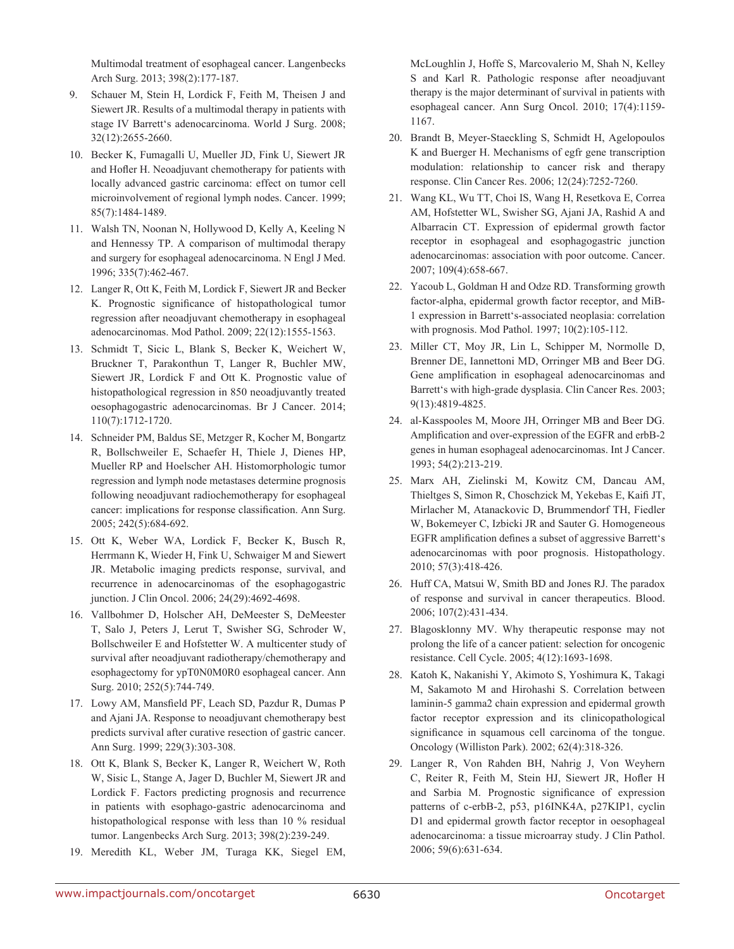Multimodal treatment of esophageal cancer. Langenbecks Arch Surg. 2013; 398(2):177-187.

- 9. Schauer M, Stein H, Lordick F, Feith M, Theisen J and Siewert JR. Results of a multimodal therapy in patients with stage IV Barrett's adenocarcinoma. World J Surg. 2008; 32(12):2655-2660.
- 10. Becker K, Fumagalli U, Mueller JD, Fink U, Siewert JR and Hofler H. Neoadjuvant chemotherapy for patients with locally advanced gastric carcinoma: effect on tumor cell microinvolvement of regional lymph nodes. Cancer. 1999; 85(7):1484-1489.
- 11. Walsh TN, Noonan N, Hollywood D, Kelly A, Keeling N and Hennessy TP. A comparison of multimodal therapy and surgery for esophageal adenocarcinoma. N Engl J Med. 1996; 335(7):462-467.
- 12. Langer R, Ott K, Feith M, Lordick F, Siewert JR and Becker K. Prognostic significance of histopathological tumor regression after neoadjuvant chemotherapy in esophageal adenocarcinomas. Mod Pathol. 2009; 22(12):1555-1563.
- 13. Schmidt T, Sicic L, Blank S, Becker K, Weichert W, Bruckner T, Parakonthun T, Langer R, Buchler MW, Siewert JR, Lordick F and Ott K. Prognostic value of histopathological regression in 850 neoadjuvantly treated oesophagogastric adenocarcinomas. Br J Cancer. 2014; 110(7):1712-1720.
- 14. Schneider PM, Baldus SE, Metzger R, Kocher M, Bongartz R, Bollschweiler E, Schaefer H, Thiele J, Dienes HP, Mueller RP and Hoelscher AH. Histomorphologic tumor regression and lymph node metastases determine prognosis following neoadjuvant radiochemotherapy for esophageal cancer: implications for response classification. Ann Surg. 2005; 242(5):684-692.
- 15. Ott K, Weber WA, Lordick F, Becker K, Busch R, Herrmann K, Wieder H, Fink U, Schwaiger M and Siewert JR. Metabolic imaging predicts response, survival, and recurrence in adenocarcinomas of the esophagogastric junction. J Clin Oncol. 2006; 24(29):4692-4698.
- 16. Vallbohmer D, Holscher AH, DeMeester S, DeMeester T, Salo J, Peters J, Lerut T, Swisher SG, Schroder W, Bollschweiler E and Hofstetter W. A multicenter study of survival after neoadjuvant radiotherapy/chemotherapy and esophagectomy for ypT0N0M0R0 esophageal cancer. Ann Surg. 2010; 252(5):744-749.
- 17. Lowy AM, Mansfield PF, Leach SD, Pazdur R, Dumas P and Ajani JA. Response to neoadjuvant chemotherapy best predicts survival after curative resection of gastric cancer. Ann Surg. 1999; 229(3):303-308.
- 18. Ott K, Blank S, Becker K, Langer R, Weichert W, Roth W, Sisic L, Stange A, Jager D, Buchler M, Siewert JR and Lordick F. Factors predicting prognosis and recurrence in patients with esophago-gastric adenocarcinoma and histopathological response with less than 10 % residual tumor. Langenbecks Arch Surg. 2013; 398(2):239-249.
- 19. Meredith KL, Weber JM, Turaga KK, Siegel EM,

McLoughlin J, Hoffe S, Marcovalerio M, Shah N, Kelley S and Karl R. Pathologic response after neoadjuvant therapy is the major determinant of survival in patients with esophageal cancer. Ann Surg Oncol. 2010; 17(4):1159- 1167.

- 20. Brandt B, Meyer-Staeckling S, Schmidt H, Agelopoulos K and Buerger H. Mechanisms of egfr gene transcription modulation: relationship to cancer risk and therapy response. Clin Cancer Res. 2006; 12(24):7252-7260.
- 21. Wang KL, Wu TT, Choi IS, Wang H, Resetkova E, Correa AM, Hofstetter WL, Swisher SG, Ajani JA, Rashid A and Albarracin CT. Expression of epidermal growth factor receptor in esophageal and esophagogastric junction adenocarcinomas: association with poor outcome. Cancer. 2007; 109(4):658-667.
- 22. Yacoub L, Goldman H and Odze RD. Transforming growth factor-alpha, epidermal growth factor receptor, and MiB-1 expression in Barrett's-associated neoplasia: correlation with prognosis. Mod Pathol. 1997; 10(2):105-112.
- 23. Miller CT, Moy JR, Lin L, Schipper M, Normolle D, Brenner DE, Iannettoni MD, Orringer MB and Beer DG. Gene amplification in esophageal adenocarcinomas and Barrett's with high-grade dysplasia. Clin Cancer Res. 2003; 9(13):4819-4825.
- 24. al-Kasspooles M, Moore JH, Orringer MB and Beer DG. Amplification and over-expression of the EGFR and erbB-2 genes in human esophageal adenocarcinomas. Int J Cancer. 1993; 54(2):213-219.
- 25. Marx AH, Zielinski M, Kowitz CM, Dancau AM, Thieltges S, Simon R, Choschzick M, Yekebas E, Kaifi JT, Mirlacher M, Atanackovic D, Brummendorf TH, Fiedler W, Bokemeyer C, Izbicki JR and Sauter G. Homogeneous EGFR amplification defines a subset of aggressive Barrett's adenocarcinomas with poor prognosis. Histopathology. 2010; 57(3):418-426.
- 26. Huff CA, Matsui W, Smith BD and Jones RJ. The paradox of response and survival in cancer therapeutics. Blood. 2006; 107(2):431-434.
- 27. Blagosklonny MV. Why therapeutic response may not prolong the life of a cancer patient: selection for oncogenic resistance. Cell Cycle. 2005; 4(12):1693-1698.
- 28. Katoh K, Nakanishi Y, Akimoto S, Yoshimura K, Takagi M, Sakamoto M and Hirohashi S. Correlation between laminin-5 gamma2 chain expression and epidermal growth factor receptor expression and its clinicopathological significance in squamous cell carcinoma of the tongue. Oncology (Williston Park). 2002; 62(4):318-326.
- 29. Langer R, Von Rahden BH, Nahrig J, Von Weyhern C, Reiter R, Feith M, Stein HJ, Siewert JR, Hofler H and Sarbia M. Prognostic significance of expression patterns of c-erbB-2, p53, p16INK4A, p27KIP1, cyclin D1 and epidermal growth factor receptor in oesophageal adenocarcinoma: a tissue microarray study. J Clin Pathol. 2006; 59(6):631-634.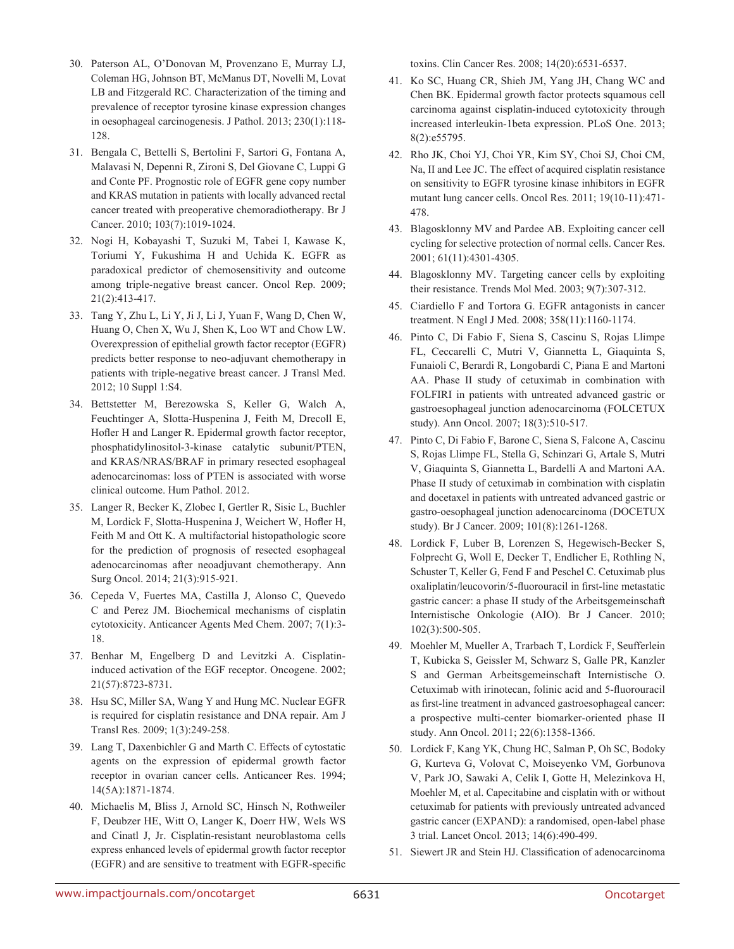- 30. Paterson AL, O'Donovan M, Provenzano E, Murray LJ, Coleman HG, Johnson BT, McManus DT, Novelli M, Lovat LB and Fitzgerald RC. Characterization of the timing and prevalence of receptor tyrosine kinase expression changes in oesophageal carcinogenesis. J Pathol. 2013; 230(1):118- 128.
- 31. Bengala C, Bettelli S, Bertolini F, Sartori G, Fontana A, Malavasi N, Depenni R, Zironi S, Del Giovane C, Luppi G and Conte PF. Prognostic role of EGFR gene copy number and KRAS mutation in patients with locally advanced rectal cancer treated with preoperative chemoradiotherapy. Br J Cancer. 2010; 103(7):1019-1024.
- 32. Nogi H, Kobayashi T, Suzuki M, Tabei I, Kawase K, Toriumi Y, Fukushima H and Uchida K. EGFR as paradoxical predictor of chemosensitivity and outcome among triple-negative breast cancer. Oncol Rep. 2009; 21(2):413-417.
- 33. Tang Y, Zhu L, Li Y, Ji J, Li J, Yuan F, Wang D, Chen W, Huang O, Chen X, Wu J, Shen K, Loo WT and Chow LW. Overexpression of epithelial growth factor receptor (EGFR) predicts better response to neo-adjuvant chemotherapy in patients with triple-negative breast cancer. J Transl Med. 2012; 10 Suppl 1:S4.
- 34. Bettstetter M, Berezowska S, Keller G, Walch A, Feuchtinger A, Slotta-Huspenina J, Feith M, Drecoll E, Hofler H and Langer R. Epidermal growth factor receptor, phosphatidylinositol-3-kinase catalytic subunit/PTEN, and KRAS/NRAS/BRAF in primary resected esophageal adenocarcinomas: loss of PTEN is associated with worse clinical outcome. Hum Pathol. 2012.
- 35. Langer R, Becker K, Zlobec I, Gertler R, Sisic L, Buchler M, Lordick F, Slotta-Huspenina J, Weichert W, Hofler H, Feith M and Ott K. A multifactorial histopathologic score for the prediction of prognosis of resected esophageal adenocarcinomas after neoadjuvant chemotherapy. Ann Surg Oncol. 2014; 21(3):915-921.
- 36. Cepeda V, Fuertes MA, Castilla J, Alonso C, Quevedo C and Perez JM. Biochemical mechanisms of cisplatin cytotoxicity. Anticancer Agents Med Chem. 2007; 7(1):3- 18.
- 37. Benhar M, Engelberg D and Levitzki A. Cisplatininduced activation of the EGF receptor. Oncogene. 2002; 21(57):8723-8731.
- 38. Hsu SC, Miller SA, Wang Y and Hung MC. Nuclear EGFR is required for cisplatin resistance and DNA repair. Am J Transl Res. 2009; 1(3):249-258.
- 39. Lang T, Daxenbichler G and Marth C. Effects of cytostatic agents on the expression of epidermal growth factor receptor in ovarian cancer cells. Anticancer Res. 1994; 14(5A):1871-1874.
- 40. Michaelis M, Bliss J, Arnold SC, Hinsch N, Rothweiler F, Deubzer HE, Witt O, Langer K, Doerr HW, Wels WS and Cinatl J, Jr. Cisplatin-resistant neuroblastoma cells express enhanced levels of epidermal growth factor receptor (EGFR) and are sensitive to treatment with EGFR-specific

toxins. Clin Cancer Res. 2008; 14(20):6531-6537.

- 41. Ko SC, Huang CR, Shieh JM, Yang JH, Chang WC and Chen BK. Epidermal growth factor protects squamous cell carcinoma against cisplatin-induced cytotoxicity through increased interleukin-1beta expression. PLoS One. 2013; 8(2):e55795.
- 42. Rho JK, Choi YJ, Choi YR, Kim SY, Choi SJ, Choi CM, Na, II and Lee JC. The effect of acquired cisplatin resistance on sensitivity to EGFR tyrosine kinase inhibitors in EGFR mutant lung cancer cells. Oncol Res. 2011; 19(10-11):471- 478.
- 43. Blagosklonny MV and Pardee AB. Exploiting cancer cell cycling for selective protection of normal cells. Cancer Res. 2001; 61(11):4301-4305.
- 44. Blagosklonny MV. Targeting cancer cells by exploiting their resistance. Trends Mol Med. 2003; 9(7):307-312.
- 45. Ciardiello F and Tortora G. EGFR antagonists in cancer treatment. N Engl J Med. 2008; 358(11):1160-1174.
- 46. Pinto C, Di Fabio F, Siena S, Cascinu S, Rojas Llimpe FL, Ceccarelli C, Mutri V, Giannetta L, Giaquinta S, Funaioli C, Berardi R, Longobardi C, Piana E and Martoni AA. Phase II study of cetuximab in combination with FOLFIRI in patients with untreated advanced gastric or gastroesophageal junction adenocarcinoma (FOLCETUX study). Ann Oncol. 2007; 18(3):510-517.
- 47. Pinto C, Di Fabio F, Barone C, Siena S, Falcone A, Cascinu S, Rojas Llimpe FL, Stella G, Schinzari G, Artale S, Mutri V, Giaquinta S, Giannetta L, Bardelli A and Martoni AA. Phase II study of cetuximab in combination with cisplatin and docetaxel in patients with untreated advanced gastric or gastro-oesophageal junction adenocarcinoma (DOCETUX study). Br J Cancer. 2009; 101(8):1261-1268.
- 48. Lordick F, Luber B, Lorenzen S, Hegewisch-Becker S, Folprecht G, Woll E, Decker T, Endlicher E, Rothling N, Schuster T, Keller G, Fend F and Peschel C. Cetuximab plus oxaliplatin/leucovorin/5-fluorouracil in first-line metastatic gastric cancer: a phase II study of the Arbeitsgemeinschaft Internistische Onkologie (AIO). Br J Cancer. 2010; 102(3):500-505.
- 49. Moehler M, Mueller A, Trarbach T, Lordick F, Seufferlein T, Kubicka S, Geissler M, Schwarz S, Galle PR, Kanzler S and German Arbeitsgemeinschaft Internistische O. Cetuximab with irinotecan, folinic acid and 5-fluorouracil as first-line treatment in advanced gastroesophageal cancer: a prospective multi-center biomarker-oriented phase II study. Ann Oncol. 2011; 22(6):1358-1366.
- 50. Lordick F, Kang YK, Chung HC, Salman P, Oh SC, Bodoky G, Kurteva G, Volovat C, Moiseyenko VM, Gorbunova V, Park JO, Sawaki A, Celik I, Gotte H, Melezinkova H, Moehler M, et al. Capecitabine and cisplatin with or without cetuximab for patients with previously untreated advanced gastric cancer (EXPAND): a randomised, open-label phase 3 trial. Lancet Oncol. 2013; 14(6):490-499.
- 51. Siewert JR and Stein HJ. Classification of adenocarcinoma